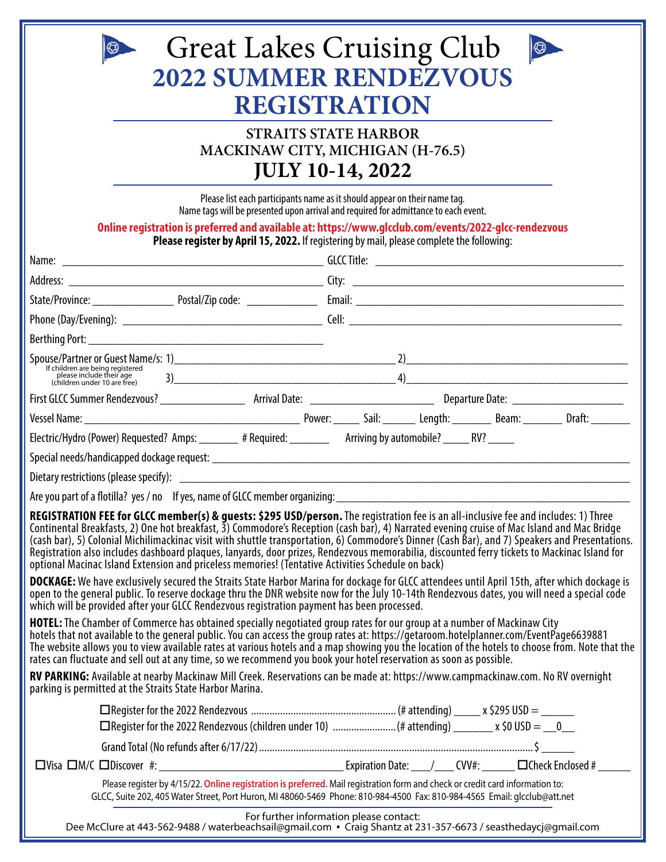| $\odot$                                                                                                                                                                                                                                                                                                                                                                                                                                                                                                                                                                                                                                                                                   | <b>Great Lakes Cruising Club</b><br>$\circledS$<br><b>2022 SUMMER RENDEZVOUS</b><br><b>REGISTRATION</b>                                                                                                                                                                                                                                                                 |  |  |
|-------------------------------------------------------------------------------------------------------------------------------------------------------------------------------------------------------------------------------------------------------------------------------------------------------------------------------------------------------------------------------------------------------------------------------------------------------------------------------------------------------------------------------------------------------------------------------------------------------------------------------------------------------------------------------------------|-------------------------------------------------------------------------------------------------------------------------------------------------------------------------------------------------------------------------------------------------------------------------------------------------------------------------------------------------------------------------|--|--|
| <b>STRAITS STATE HARBOR</b><br>MACKINAW CITY, MICHIGAN (H-76.5)<br><b>JULY 10-14, 2022</b>                                                                                                                                                                                                                                                                                                                                                                                                                                                                                                                                                                                                |                                                                                                                                                                                                                                                                                                                                                                         |  |  |
|                                                                                                                                                                                                                                                                                                                                                                                                                                                                                                                                                                                                                                                                                           | Please list each participants name as it should appear on their name tag.<br>Name tags will be presented upon arrival and required for admittance to each event.<br>Online registration is preferred and available at: https://www.glcclub.com/events/2022-glcc-rendezvous<br>Please register by April 15, 2022. If registering by mail, please complete the following: |  |  |
|                                                                                                                                                                                                                                                                                                                                                                                                                                                                                                                                                                                                                                                                                           |                                                                                                                                                                                                                                                                                                                                                                         |  |  |
|                                                                                                                                                                                                                                                                                                                                                                                                                                                                                                                                                                                                                                                                                           |                                                                                                                                                                                                                                                                                                                                                                         |  |  |
|                                                                                                                                                                                                                                                                                                                                                                                                                                                                                                                                                                                                                                                                                           |                                                                                                                                                                                                                                                                                                                                                                         |  |  |
|                                                                                                                                                                                                                                                                                                                                                                                                                                                                                                                                                                                                                                                                                           |                                                                                                                                                                                                                                                                                                                                                                         |  |  |
|                                                                                                                                                                                                                                                                                                                                                                                                                                                                                                                                                                                                                                                                                           |                                                                                                                                                                                                                                                                                                                                                                         |  |  |
|                                                                                                                                                                                                                                                                                                                                                                                                                                                                                                                                                                                                                                                                                           |                                                                                                                                                                                                                                                                                                                                                                         |  |  |
|                                                                                                                                                                                                                                                                                                                                                                                                                                                                                                                                                                                                                                                                                           |                                                                                                                                                                                                                                                                                                                                                                         |  |  |
|                                                                                                                                                                                                                                                                                                                                                                                                                                                                                                                                                                                                                                                                                           |                                                                                                                                                                                                                                                                                                                                                                         |  |  |
|                                                                                                                                                                                                                                                                                                                                                                                                                                                                                                                                                                                                                                                                                           | Electric/Hydro (Power) Requested? Amps: _______ # Required: ________ Arriving by automobile? _____ RV? _____                                                                                                                                                                                                                                                            |  |  |
|                                                                                                                                                                                                                                                                                                                                                                                                                                                                                                                                                                                                                                                                                           |                                                                                                                                                                                                                                                                                                                                                                         |  |  |
|                                                                                                                                                                                                                                                                                                                                                                                                                                                                                                                                                                                                                                                                                           |                                                                                                                                                                                                                                                                                                                                                                         |  |  |
|                                                                                                                                                                                                                                                                                                                                                                                                                                                                                                                                                                                                                                                                                           |                                                                                                                                                                                                                                                                                                                                                                         |  |  |
| REGISTRATION FEE for GLCC member(s) & guests: \$295 USD/person. The registration fee is an all-inclusive fee and includes: 1) Three<br>Continental Breakfasts, 2) One hot breakfast, 3) Commodore's Reception (cash bar), 4) Narrated evening cruise of Mac Island and Mac Bridge<br>(cash bar), 5) Colonial Michilimackinac visit with shuttle transportation, 6) Commodore's Dinner (Cash Bar), and 7) Speakers and Presentations.<br>Registration also includes dashboard plaques, lanyards, door prizes, Rendezvous memorabilia, discounted ferry tickets to Mackinac Island for<br>optional Macinac Island Extension and priceless memories! (Tentative Activities Schedule on back) |                                                                                                                                                                                                                                                                                                                                                                         |  |  |
| DOCKAGE: We have exclusively secured the Straits State Harbor Marina for dockage for GLCC attendees until April 15th, after which dockage is<br>open to the general public. To reserve dockage thru the DNR website now for the July 10-14th Rendezvous dates, you will need a special code<br>which will be provided after your GLCC Rendezvous registration payment has been processed.                                                                                                                                                                                                                                                                                                 |                                                                                                                                                                                                                                                                                                                                                                         |  |  |
| <b>HOTEL:</b> The Chamber of Commerce has obtained specially negotiated group rates for our group at a number of Mackinaw City<br>hotels that not available to the general public. You can access the group rates at: https://getaroom.hotelplanner.com/EventPage6639881<br>The website allows you to view available rates at various hotels and a map showing you the location of the hotels to choose from. Note that the<br>rates can fluctuate and sell out at any time, so we recommend you book your hotel reservation as soon as possible.                                                                                                                                         |                                                                                                                                                                                                                                                                                                                                                                         |  |  |
| parking is permitted at the Straits State Harbor Marina.                                                                                                                                                                                                                                                                                                                                                                                                                                                                                                                                                                                                                                  | RV PARKING: Available at nearby Mackinaw Mill Creek. Reservations can be made at: https://www.campmackinaw.com. No RV overnight                                                                                                                                                                                                                                         |  |  |
|                                                                                                                                                                                                                                                                                                                                                                                                                                                                                                                                                                                                                                                                                           |                                                                                                                                                                                                                                                                                                                                                                         |  |  |
|                                                                                                                                                                                                                                                                                                                                                                                                                                                                                                                                                                                                                                                                                           |                                                                                                                                                                                                                                                                                                                                                                         |  |  |
|                                                                                                                                                                                                                                                                                                                                                                                                                                                                                                                                                                                                                                                                                           |                                                                                                                                                                                                                                                                                                                                                                         |  |  |
| Please register by 4/15/22. Online registration is preferred. Mail registration form and check or credit card information to:<br>GLCC, Suite 202, 405 Water Street, Port Huron, MI 48060-5469 Phone: 810-984-4500 Fax: 810-984-4565 Email: glcclub@att.net                                                                                                                                                                                                                                                                                                                                                                                                                                |                                                                                                                                                                                                                                                                                                                                                                         |  |  |
|                                                                                                                                                                                                                                                                                                                                                                                                                                                                                                                                                                                                                                                                                           | For further information please contact:<br>Dee McClure at 443-562-9488 / waterbeachsail@gmail.com · Craig Shantz at 231-357-6673 / seasthedaycj@gmail.com                                                                                                                                                                                                               |  |  |